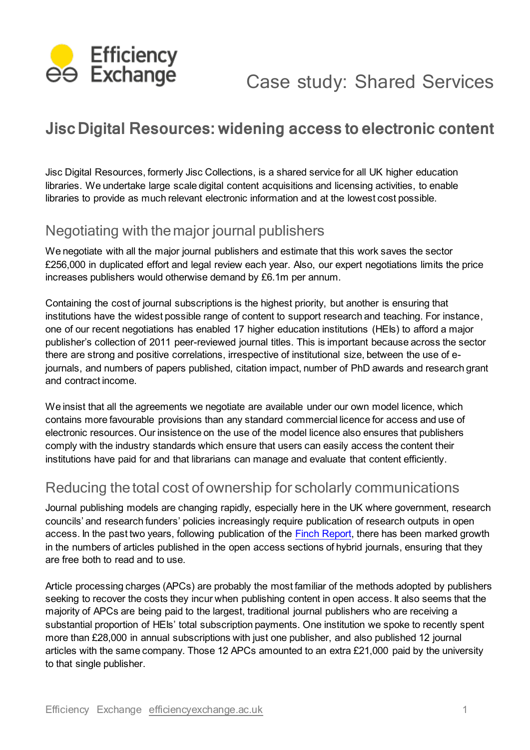

# Case study: Shared Services

# **JiscDigital Resources: widening access to electronic content**

Jisc Digital Resources, formerly Jisc Collections, is a shared service for all UK higher education libraries. We undertake large scale digital content acquisitions and licensing activities, to enable libraries to provide as much relevant electronic information and at the lowest cost possible.

## Negotiating with themajor journal publishers

We negotiate with all the major journal publishers and estimate that this work saves the sector £256,000 in duplicated effort and legal review each year. Also, our expert negotiations limits the price increases publishers would otherwise demand by £6.1m per annum.

Containing the cost of journal subscriptions is the highest priority, but another is ensuring that institutions have the widest possible range of content to support research and teaching. For instance, one of our recent negotiations has enabled 17 higher education institutions (HEIs) to afford a major publisher's collection of 2011 peer-reviewed journal titles. This is important because across the sector there are strong and positive correlations, irrespective of institutional size, between the use of ejournals, and numbers of papers published, citation impact, number of PhD awards and research grant and contract income.

We insist that all the agreements we negotiate are available under our own model licence, which contains more favourable provisions than any standard commercial licence for access and use of electronic resources. Our insistence on the use of the model licence also ensures that publishers comply with the industry standards which ensure that users can easily access the content their institutions have paid for and that librarians can manage and evaluate that content efficiently.

### Reducing the total cost of ownership for scholarly communications

Journal publishing models are changing rapidly, especially here in the UK where government, research councils' and research funders' policies increasingly require publication of research outputs in open access. In the past two years, following publication of the **Finch Report**, there has been marked growth in the numbers of articles published in the open access sections of hybrid journals, ensuring that they are free both to read and to use.

Article processing charges (APCs) are probably the most familiar of the methods adopted by publishers seeking to recover the costs they incur when publishing content in open access. It also seems that the majority of APCs are being paid to the largest, traditional journal publishers who are receiving a substantial proportion of HEIs' total subscription payments. One institution we spoke to recently spent more than £28,000 in annual subscriptions with just one publisher, and also published 12 journal articles with the same company. Those 12 APCs amounted to an extra £21,000 paid by the university to that single publisher.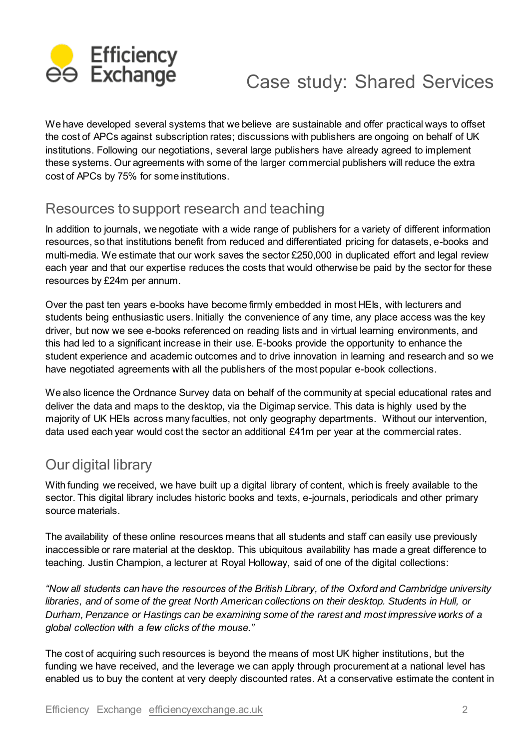

# Case study: Shared Services

We have developed several systems that we believe are sustainable and offer practical ways to offset the cost of APCs against subscription rates; discussions with publishers are ongoing on behalf of UK institutions. Following our negotiations, several large publishers have already agreed to implement these systems. Our agreements with some of the larger commercial publishers will reduce the extra cost of APCs by 75% for some institutions.

#### Resources tosupport research and teaching

In addition to journals, we negotiate with a wide range of publishers for a variety of different information resources, so that institutions benefit from reduced and differentiated pricing for datasets, e-books and multi-media. We estimate that our work saves the sector £250,000 in duplicated effort and legal review each year and that our expertise reduces the costs that would otherwise be paid by the sector for these resources by £24m per annum.

Over the past ten years e-books have become firmly embedded in most HEIs, with lecturers and students being enthusiastic users. Initially the convenience of any time, any place access was the key driver, but now we see e-books referenced on reading lists and in virtual learning environments, and this had led to a significant increase in their use. E-books provide the opportunity to enhance the student experience and academic outcomes and to drive innovation in learning and research and so we have negotiated agreements with all the publishers of the most popular e-book collections.

We also licence the Ordnance Survey data on behalf of the community at special educational rates and deliver the data and maps to the desktop, via the Digimap service. This data is highly used by the majority of UK HEIs across many faculties, not only geography departments. Without our intervention, data used each year would cost the sector an additional £41m per year at the commercial rates.

## Our digital library

With funding we received, we have built up a digital library of content, which is freely available to the sector. This digital library includes historic books and texts, e-journals, periodicals and other primary source materials.

The availability of these online resources means that all students and staff can easily use previously inaccessible or rare material at the desktop. This ubiquitous availability has made a great difference to teaching. Justin Champion, a lecturer at Royal Holloway, said of one of the digital collections:

*"Now all students can have the resources of the British Library, of the Oxford and Cambridge university libraries, and of some of the great North American collections on their desktop. Students in Hull, or Durham, Penzance or Hastings can be examining some of the rarest and most impressive works of a global collection with a few clicks of the mouse."*

The cost of acquiring such resources is beyond the means of most UK higher institutions, but the funding we have received, and the leverage we can apply through procurement at a national level has enabled us to buy the content at very deeply discounted rates. At a conservative estimate the content in